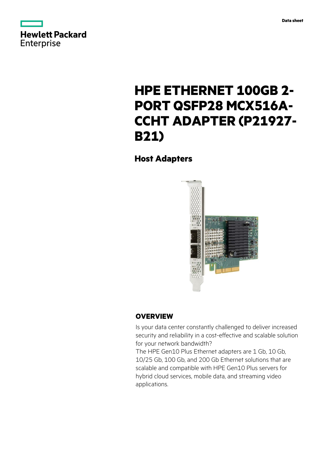



# **HPE ETHERNET 100GB 2- PORT QSFP28 MCX516A-CCHT ADAPTER (P21927- B21)**

# **Host Adapters**



# **OVERVIEW**

Is your data center constantly challenged to deliver increased security and reliability in a cost-effective and scalable solution for your network bandwidth?

The HPE Gen10 Plus Ethernet adapters are 1 Gb, 10 Gb, 10/25 Gb, 100 Gb, and 200 Gb Ethernet solutions that are scalable and compatible with HPE Gen10 Plus servers for hybrid cloud services, mobile data, and streaming video applications.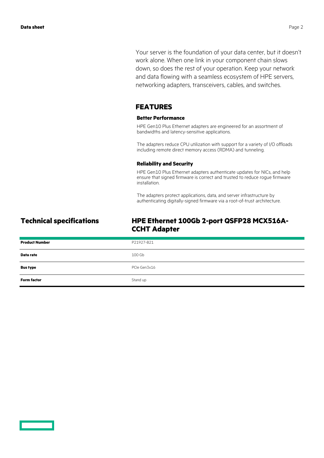Your server is the foundation of your data center, but it doesn't work alone. When one link in your component chain slows down, so does the rest of your operation. Keep your network and data flowing with a seamless ecosystem of HPE servers, networking adapters, transceivers, cables, and switches.

### **FEATURES**

### **Better Performance**

HPE Gen10 Plus Ethernet adapters are engineered for an assortment of bandwidths and latency-sensitive applications.

The adapters reduce CPU utilization with support for a variety of I/O offloads including remote direct memory access (RDMA) and tunneling.

### **Reliability and Security**

HPE Gen10 Plus Ethernet adapters authenticate updates for NICs, and help ensure that signed firmware is correct and trusted to reduce rogue firmware installation.

The adapters protect applications, data, and server infrastructure by authenticating digitally-signed firmware via a root-of-trust architecture.

## **Technical specifications HPE Ethernet 100Gb 2-port QSFP28 MCX516A-CCHT Adapter**

| <b>Product Number</b> | P21927-B21   |
|-----------------------|--------------|
| Data rate             | 100 Gb       |
| <b>Bus type</b>       | PCIe Gen3x16 |
| <b>Form factor</b>    | Stand up     |